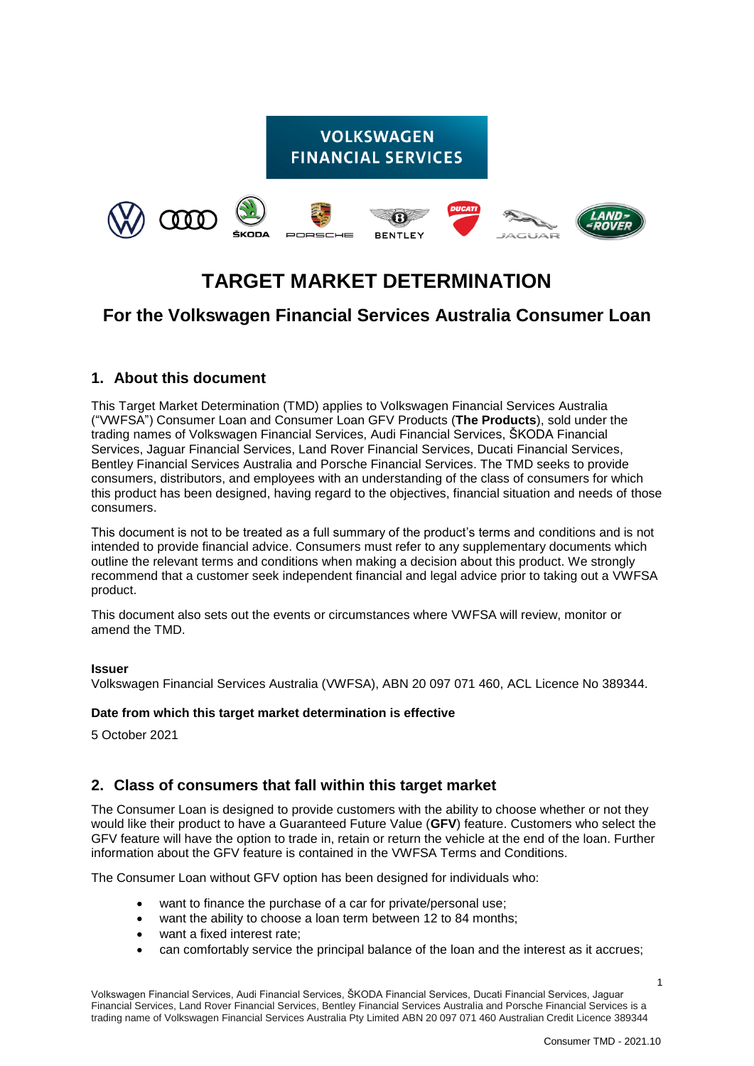# **VOLKSWAGEN FINANCIAL SERVICES**



# **TARGET MARKET DETERMINATION**

# **For the Volkswagen Financial Services Australia Consumer Loan**

### **1. About this document**

This Target Market Determination (TMD) applies to Volkswagen Financial Services Australia ("VWFSA") Consumer Loan and Consumer Loan GFV Products (**The Products**), sold under the trading names of Volkswagen Financial Services, Audi Financial Services, ŠKODA Financial Services, Jaguar Financial Services, Land Rover Financial Services, Ducati Financial Services, Bentley Financial Services Australia and Porsche Financial Services. The TMD seeks to provide consumers, distributors, and employees with an understanding of the class of consumers for which this product has been designed, having regard to the objectives, financial situation and needs of those consumers.

This document is not to be treated as a full summary of the product's terms and conditions and is not intended to provide financial advice. Consumers must refer to any supplementary documents which outline the relevant terms and conditions when making a decision about this product. We strongly recommend that a customer seek independent financial and legal advice prior to taking out a VWFSA product.

This document also sets out the events or circumstances where VWFSA will review, monitor or amend the TMD.

#### **Issuer**

Volkswagen Financial Services Australia (VWFSA), ABN 20 097 071 460, ACL Licence No 389344.

#### **Date from which this target market determination is effective**

5 October 2021

# **2. Class of consumers that fall within this target market**

The Consumer Loan is designed to provide customers with the ability to choose whether or not they would like their product to have a Guaranteed Future Value (**GFV**) feature. Customers who select the GFV feature will have the option to trade in, retain or return the vehicle at the end of the loan. Further information about the GFV feature is contained in the VWFSA Terms and Conditions.

The Consumer Loan without GFV option has been designed for individuals who:

- want to finance the purchase of a car for private/personal use;
- want the ability to choose a loan term between 12 to 84 months;
- want a fixed interest rate;
- can comfortably service the principal balance of the loan and the interest as it accrues;

1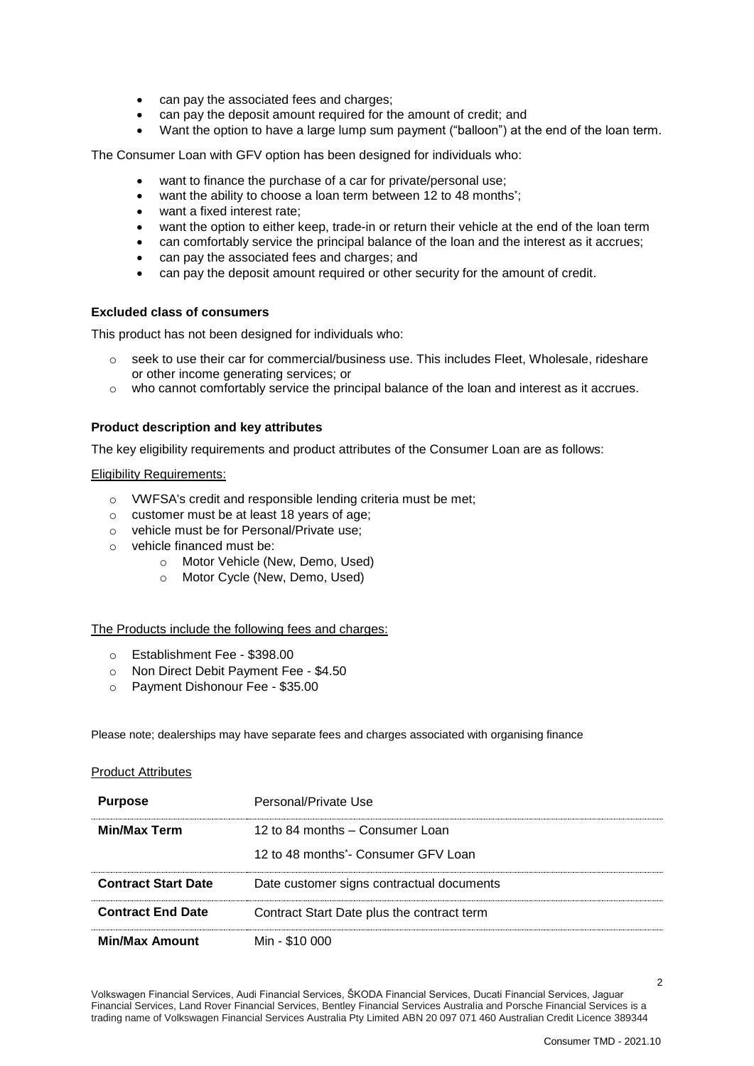- can pay the associated fees and charges;
- can pay the deposit amount required for the amount of credit; and
- Want the option to have a large lump sum payment ("balloon") at the end of the loan term.

The Consumer Loan with GFV option has been designed for individuals who:

- want to finance the purchase of a car for private/personal use;
- want the ability to choose a loan term between 12 to 48 months<sup>\*</sup>;
- want a fixed interest rate;
- want the option to either keep, trade-in or return their vehicle at the end of the loan term
- can comfortably service the principal balance of the loan and the interest as it accrues;
- can pay the associated fees and charges; and
- can pay the deposit amount required or other security for the amount of credit.

#### **Excluded class of consumers**

This product has not been designed for individuals who:

- $\circ$  seek to use their car for commercial/business use. This includes Fleet, Wholesale, rideshare or other income generating services; or
- o who cannot comfortably service the principal balance of the loan and interest as it accrues.

#### **Product description and key attributes**

The key eligibility requirements and product attributes of the Consumer Loan are as follows:

#### Eligibility Requirements:

- o VWFSA's credit and responsible lending criteria must be met;
- o customer must be at least 18 years of age;
- o vehicle must be for Personal/Private use;
- o vehicle financed must be:
	- o Motor Vehicle (New, Demo, Used)
	- o Motor Cycle (New, Demo, Used)

#### The Products include the following fees and charges:

- o Establishment Fee \$398.00
- o Non Direct Debit Payment Fee \$4.50
- o Payment Dishonour Fee \$35.00

Please note; dealerships may have separate fees and charges associated with organising finance

#### Product Attributes

| <b>Purpose</b>             | Personal/Private Use                             |
|----------------------------|--------------------------------------------------|
| <b>Min/Max Term</b>        | 12 to 84 months – Consumer Loan                  |
|                            | 12 to 48 months <sup>*</sup> - Consumer GFV Loan |
| <b>Contract Start Date</b> | Date customer signs contractual documents        |
| <b>Contract End Date</b>   | Contract Start Date plus the contract term       |
| <b>Min/Max Amount</b>      | Min - \$10 000                                   |

Volkswagen Financial Services, Audi Financial Services, ŠKODA Financial Services, Ducati Financial Services, Jaguar Financial Services, Land Rover Financial Services, Bentley Financial Services Australia and Porsche Financial Services is a trading name of Volkswagen Financial Services Australia Pty Limited ABN 20 097 071 460 Australian Credit Licence 389344

 $\mathfrak{p}$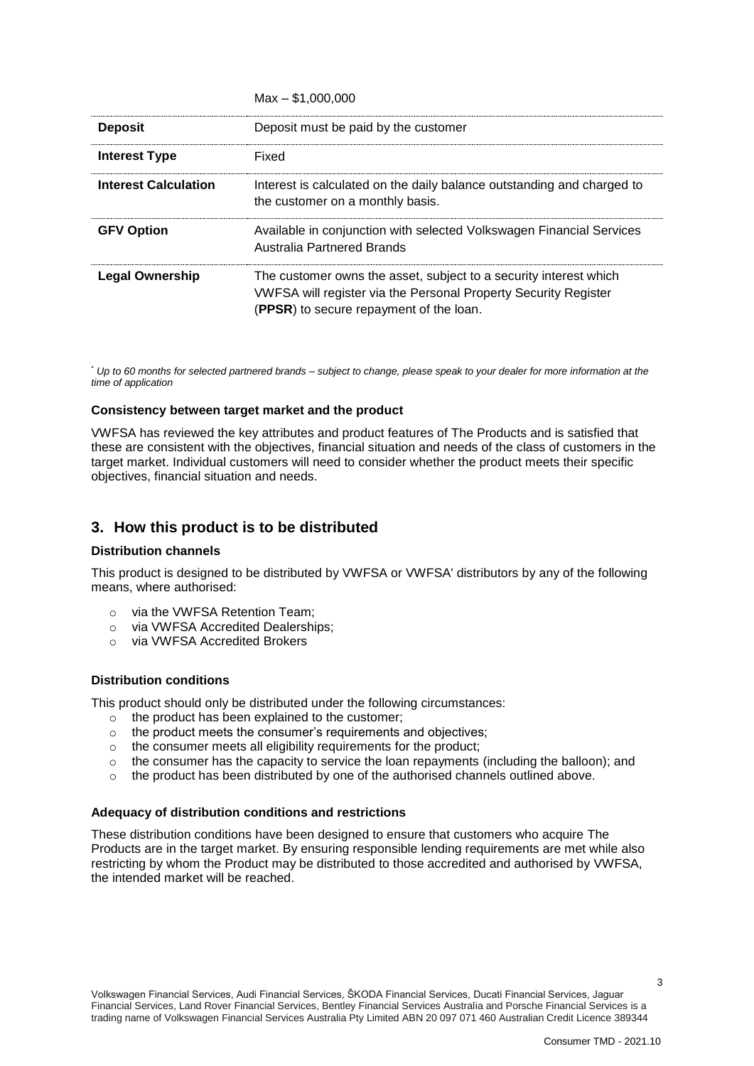|                             | $NAX - 31.000.000$                                                                                                                                                              |
|-----------------------------|---------------------------------------------------------------------------------------------------------------------------------------------------------------------------------|
| <b>Deposit</b>              | Deposit must be paid by the customer                                                                                                                                            |
| Interest Type               | Fixed                                                                                                                                                                           |
| <b>Interest Calculation</b> | Interest is calculated on the daily balance outstanding and charged to<br>the customer on a monthly basis.                                                                      |
| <b>GFV Option</b>           | Available in conjunction with selected Volkswagen Financial Services<br>Australia Partnered Brands                                                                              |
| <b>Legal Ownership</b>      | The customer owns the asset, subject to a security interest which<br>VWFSA will register via the Personal Property Security Register<br>(PPSR) to secure repayment of the loan. |

 $M_1$   $M_2$ 000,000

\* *Up to 60 months for selected partnered brands – subject to change, please speak to your dealer for more information at the time of application* 

#### **Consistency between target market and the product**

VWFSA has reviewed the key attributes and product features of The Products and is satisfied that these are consistent with the objectives, financial situation and needs of the class of customers in the target market. Individual customers will need to consider whether the product meets their specific objectives, financial situation and needs.

### **3. How this product is to be distributed**

#### **Distribution channels**

This product is designed to be distributed by VWFSA or VWFSA' distributors by any of the following means, where authorised:

- o via the VWFSA Retention Team;
- o via VWFSA Accredited Dealerships;
- o via VWFSA Accredited Brokers

#### **Distribution conditions**

This product should only be distributed under the following circumstances:

- o the product has been explained to the customer;
- $\circ$  the product meets the consumer's requirements and objectives;
- o the consumer meets all eligibility requirements for the product;
- $\circ$  the consumer has the capacity to service the loan repayments (including the balloon); and
- $\circ$  the product has been distributed by one of the authorised channels outlined above.

#### **Adequacy of distribution conditions and restrictions**

These distribution conditions have been designed to ensure that customers who acquire The Products are in the target market. By ensuring responsible lending requirements are met while also restricting by whom the Product may be distributed to those accredited and authorised by VWFSA, the intended market will be reached.